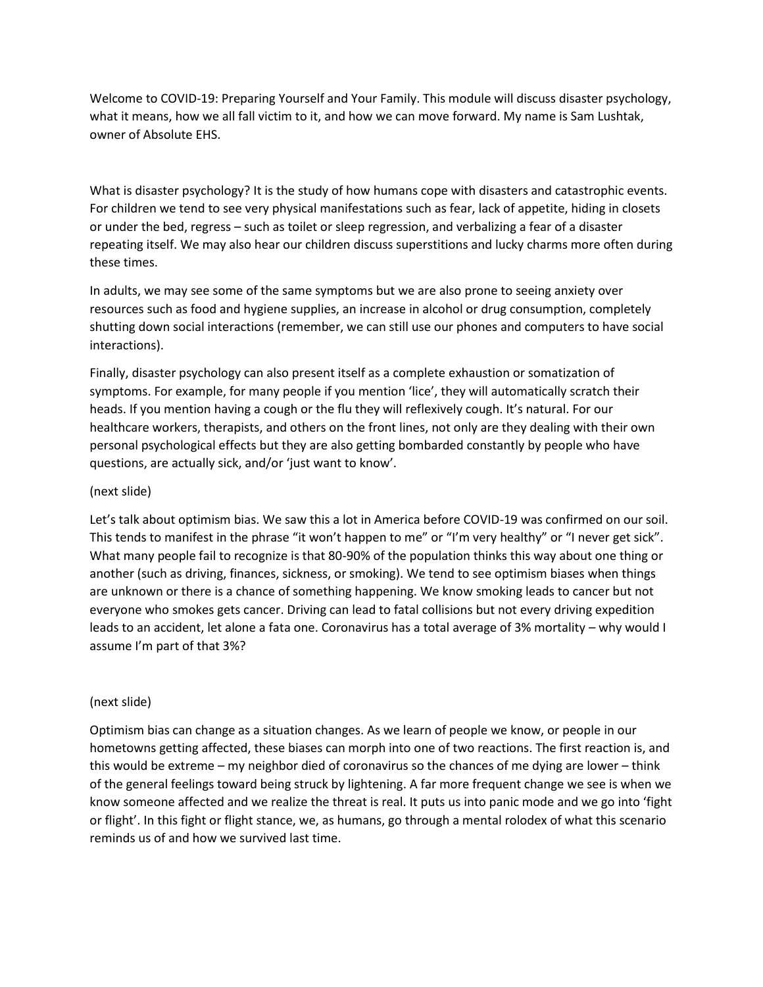Welcome to COVID-19: Preparing Yourself and Your Family. This module will discuss disaster psychology, what it means, how we all fall victim to it, and how we can move forward. My name is Sam Lushtak, owner of Absolute EHS.

What is disaster psychology? It is the study of how humans cope with disasters and catastrophic events. For children we tend to see very physical manifestations such as fear, lack of appetite, hiding in closets or under the bed, regress – such as toilet or sleep regression, and verbalizing a fear of a disaster repeating itself. We may also hear our children discuss superstitions and lucky charms more often during these times.

In adults, we may see some of the same symptoms but we are also prone to seeing anxiety over resources such as food and hygiene supplies, an increase in alcohol or drug consumption, completely shutting down social interactions (remember, we can still use our phones and computers to have social interactions).

Finally, disaster psychology can also present itself as a complete exhaustion or somatization of symptoms. For example, for many people if you mention 'lice', they will automatically scratch their heads. If you mention having a cough or the flu they will reflexively cough. It's natural. For our healthcare workers, therapists, and others on the front lines, not only are they dealing with their own personal psychological effects but they are also getting bombarded constantly by people who have questions, are actually sick, and/or 'just want to know'.

# (next slide)

Let's talk about optimism bias. We saw this a lot in America before COVID-19 was confirmed on our soil. This tends to manifest in the phrase "it won't happen to me" or "I'm very healthy" or "I never get sick". What many people fail to recognize is that 80-90% of the population thinks this way about one thing or another (such as driving, finances, sickness, or smoking). We tend to see optimism biases when things are unknown or there is a chance of something happening. We know smoking leads to cancer but not everyone who smokes gets cancer. Driving can lead to fatal collisions but not every driving expedition leads to an accident, let alone a fata one. Coronavirus has a total average of 3% mortality – why would I assume I'm part of that 3%?

## (next slide)

Optimism bias can change as a situation changes. As we learn of people we know, or people in our hometowns getting affected, these biases can morph into one of two reactions. The first reaction is, and this would be extreme – my neighbor died of coronavirus so the chances of me dying are lower – think of the general feelings toward being struck by lightening. A far more frequent change we see is when we know someone affected and we realize the threat is real. It puts us into panic mode and we go into 'fight or flight'. In this fight or flight stance, we, as humans, go through a mental rolodex of what this scenario reminds us of and how we survived last time.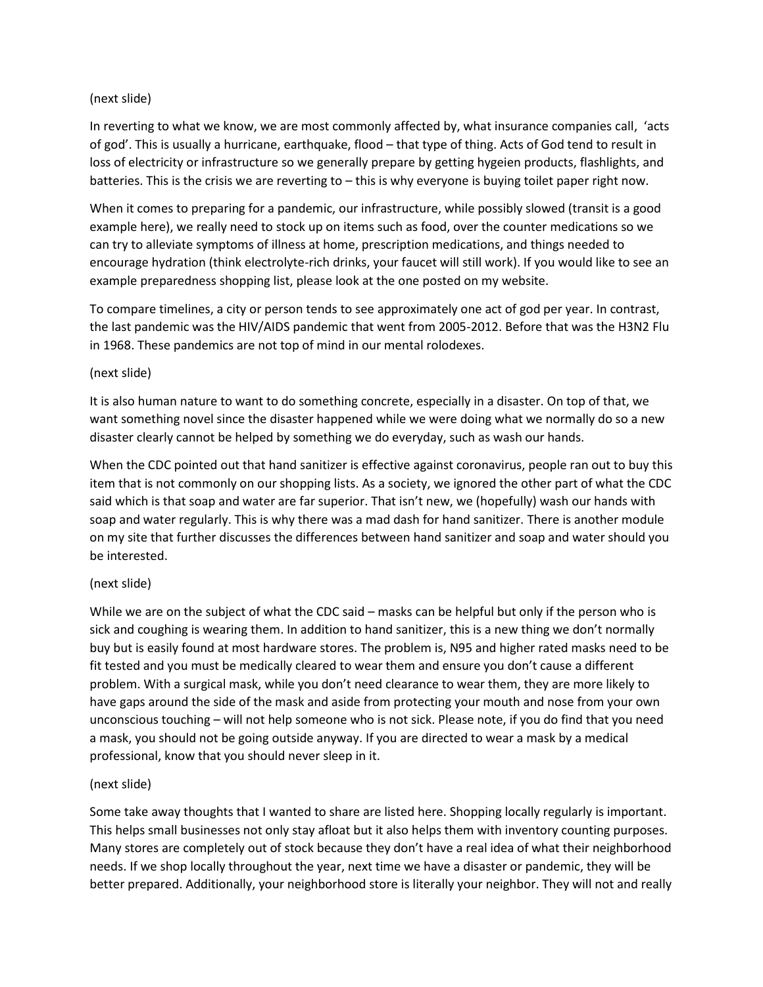## (next slide)

In reverting to what we know, we are most commonly affected by, what insurance companies call, 'acts of god'. This is usually a hurricane, earthquake, flood – that type of thing. Acts of God tend to result in loss of electricity or infrastructure so we generally prepare by getting hygeien products, flashlights, and batteries. This is the crisis we are reverting to – this is why everyone is buying toilet paper right now.

When it comes to preparing for a pandemic, our infrastructure, while possibly slowed (transit is a good example here), we really need to stock up on items such as food, over the counter medications so we can try to alleviate symptoms of illness at home, prescription medications, and things needed to encourage hydration (think electrolyte-rich drinks, your faucet will still work). If you would like to see an example preparedness shopping list, please look at the one posted on my website.

To compare timelines, a city or person tends to see approximately one act of god per year. In contrast, the last pandemic was the HIV/AIDS pandemic that went from 2005-2012. Before that was the H3N2 Flu in 1968. These pandemics are not top of mind in our mental rolodexes.

### (next slide)

It is also human nature to want to do something concrete, especially in a disaster. On top of that, we want something novel since the disaster happened while we were doing what we normally do so a new disaster clearly cannot be helped by something we do everyday, such as wash our hands.

When the CDC pointed out that hand sanitizer is effective against coronavirus, people ran out to buy this item that is not commonly on our shopping lists. As a society, we ignored the other part of what the CDC said which is that soap and water are far superior. That isn't new, we (hopefully) wash our hands with soap and water regularly. This is why there was a mad dash for hand sanitizer. There is another module on my site that further discusses the differences between hand sanitizer and soap and water should you be interested.

## (next slide)

While we are on the subject of what the CDC said – masks can be helpful but only if the person who is sick and coughing is wearing them. In addition to hand sanitizer, this is a new thing we don't normally buy but is easily found at most hardware stores. The problem is, N95 and higher rated masks need to be fit tested and you must be medically cleared to wear them and ensure you don't cause a different problem. With a surgical mask, while you don't need clearance to wear them, they are more likely to have gaps around the side of the mask and aside from protecting your mouth and nose from your own unconscious touching – will not help someone who is not sick. Please note, if you do find that you need a mask, you should not be going outside anyway. If you are directed to wear a mask by a medical professional, know that you should never sleep in it.

## (next slide)

Some take away thoughts that I wanted to share are listed here. Shopping locally regularly is important. This helps small businesses not only stay afloat but it also helps them with inventory counting purposes. Many stores are completely out of stock because they don't have a real idea of what their neighborhood needs. If we shop locally throughout the year, next time we have a disaster or pandemic, they will be better prepared. Additionally, your neighborhood store is literally your neighbor. They will not and really